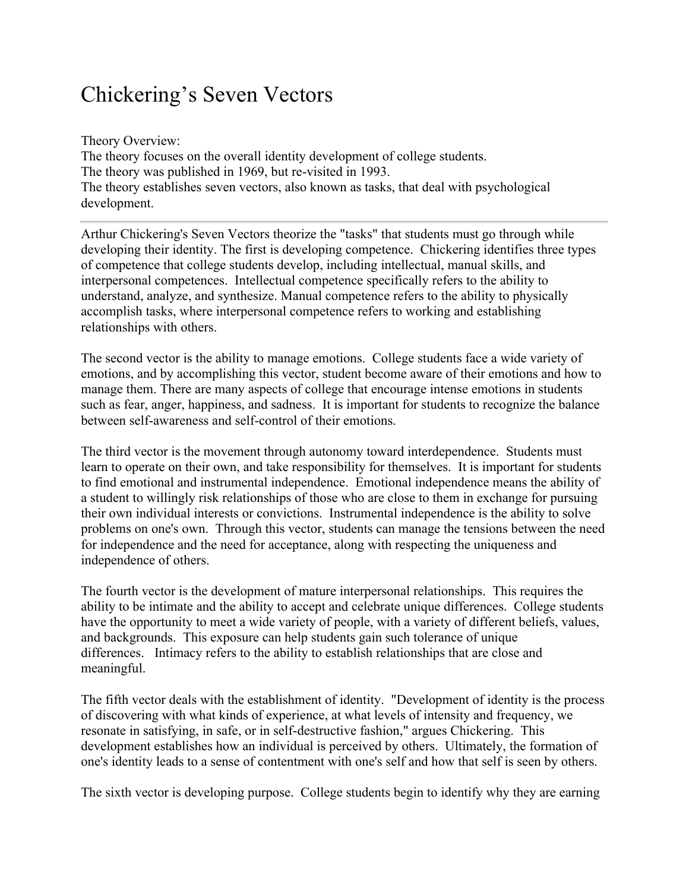## Chickering's Seven Vectors

Theory Overview: The theory focuses on the overall identity development of college students. The theory was published in 1969, but re-visited in 1993. The theory establishes seven vectors, also known as tasks, that deal with psychological development.

Arthur Chickering's Seven Vectors theorize the "tasks" that students must go through while developing their identity. The first is developing competence. Chickering identifies three types of competence that college students develop, including intellectual, manual skills, and interpersonal competences. Intellectual competence specifically refers to the ability to understand, analyze, and synthesize. Manual competence refers to the ability to physically accomplish tasks, where interpersonal competence refers to working and establishing relationships with others.

The second vector is the ability to manage emotions. College students face a wide variety of emotions, and by accomplishing this vector, student become aware of their emotions and how to manage them. There are many aspects of college that encourage intense emotions in students such as fear, anger, happiness, and sadness. It is important for students to recognize the balance between self-awareness and self-control of their emotions.

The third vector is the movement through autonomy toward interdependence. Students must learn to operate on their own, and take responsibility for themselves. It is important for students to find emotional and instrumental independence. Emotional independence means the ability of a student to willingly risk relationships of those who are close to them in exchange for pursuing their own individual interests or convictions. Instrumental independence is the ability to solve problems on one's own. Through this vector, students can manage the tensions between the need for independence and the need for acceptance, along with respecting the uniqueness and independence of others.

The fourth vector is the development of mature interpersonal relationships. This requires the ability to be intimate and the ability to accept and celebrate unique differences. College students have the opportunity to meet a wide variety of people, with a variety of different beliefs, values, and backgrounds. This exposure can help students gain such tolerance of unique differences. Intimacy refers to the ability to establish relationships that are close and meaningful.

The fifth vector deals with the establishment of identity. "Development of identity is the process of discovering with what kinds of experience, at what levels of intensity and frequency, we resonate in satisfying, in safe, or in self-destructive fashion," argues Chickering. This development establishes how an individual is perceived by others. Ultimately, the formation of one's identity leads to a sense of contentment with one's self and how that self is seen by others.

The sixth vector is developing purpose. College students begin to identify why they are earning